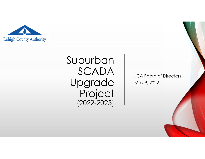

# Suburban SCADA Upgrade Project (2022-2025)

LCA Board of Directors May 9, 2022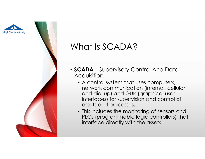



### What Is SCADA?

- **SCADA** Supervisory Control And Data **Acquisition** 
	- A control system that uses computers, network communication (internal, cellular and dial up) and GUIs (graphical user interfaces) for supervision and control of assets and processes.
	- This includes the monitoring of sensors and PLCs (programmable logic controllers) that interface directly with the assets.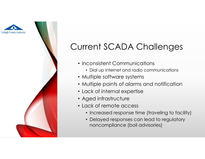



## Current SCADA Challenges

- Inconsistent Communications
	- Dial up internet and radio communications
- Multiple software systems
- Multiple points of alarms and notification
- Lack of internal expertise
- Aged infrastructure
- Lack of remote access
	- Increased response time (traveling to facility)
	- Delayed responses can lead to regulatory noncompliance (boil advisories)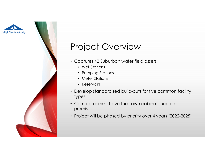



#### Project Overview

- Captures 42 Suburban water field assets
	- Well Stations
	- Pumping Stations
	- Meter Stations
	- Reservoirs
- Develop standardized build-outs for five common facility types
- Contractor must have their own cabinet shop on premises
- Project will be phased by priority over 4 years (2022-2025)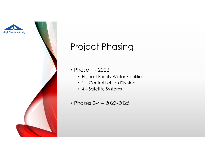



#### Project Phasing

- Phase 1 2022
	- Highest Priority Water Facilities
	- 1 Central Lehigh Division
	- 4 Satellite Systems
- Phases 2-4 2023-2025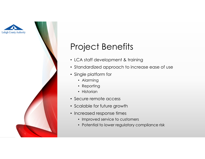



#### Project Benefits

- LCA staff development & training
- Standardized approach to increase ease of use
- Single platform for
	- Alarming
	- Reporting
	- Historian
- Secure remote access
- Scalable for future growth
- Increased response times
	- Improved service to customers
	- Potential to lower regulatory compliance risk